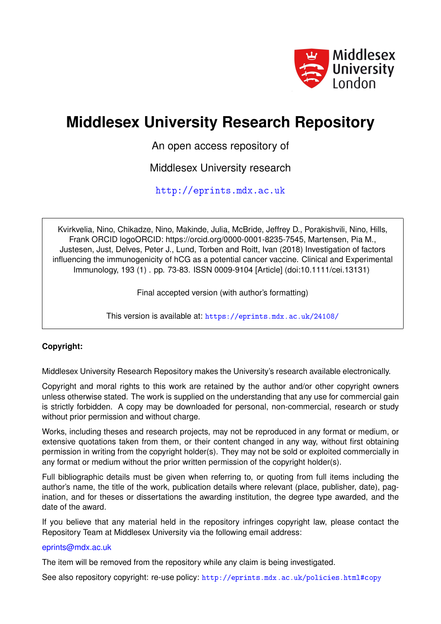

# **Middlesex University Research Repository**

An open access repository of

Middlesex University research

<http://eprints.mdx.ac.uk>

Kvirkvelia, Nino, Chikadze, Nino, Makinde, Julia, McBride, Jeffrey D., Porakishvili, Nino, Hills, Frank ORCID logoORCID: https://orcid.org/0000-0001-8235-7545, Martensen, Pia M., Justesen, Just, Delves, Peter J., Lund, Torben and Roitt, Ivan (2018) Investigation of factors influencing the immunogenicity of hCG as a potential cancer vaccine. Clinical and Experimental Immunology, 193 (1) . pp. 73-83. ISSN 0009-9104 [Article] (doi:10.1111/cei.13131)

Final accepted version (with author's formatting)

This version is available at: <https://eprints.mdx.ac.uk/24108/>

## **Copyright:**

Middlesex University Research Repository makes the University's research available electronically.

Copyright and moral rights to this work are retained by the author and/or other copyright owners unless otherwise stated. The work is supplied on the understanding that any use for commercial gain is strictly forbidden. A copy may be downloaded for personal, non-commercial, research or study without prior permission and without charge.

Works, including theses and research projects, may not be reproduced in any format or medium, or extensive quotations taken from them, or their content changed in any way, without first obtaining permission in writing from the copyright holder(s). They may not be sold or exploited commercially in any format or medium without the prior written permission of the copyright holder(s).

Full bibliographic details must be given when referring to, or quoting from full items including the author's name, the title of the work, publication details where relevant (place, publisher, date), pagination, and for theses or dissertations the awarding institution, the degree type awarded, and the date of the award.

If you believe that any material held in the repository infringes copyright law, please contact the Repository Team at Middlesex University via the following email address:

## [eprints@mdx.ac.uk](mailto:eprints@mdx.ac.uk)

The item will be removed from the repository while any claim is being investigated.

See also repository copyright: re-use policy: <http://eprints.mdx.ac.uk/policies.html#copy>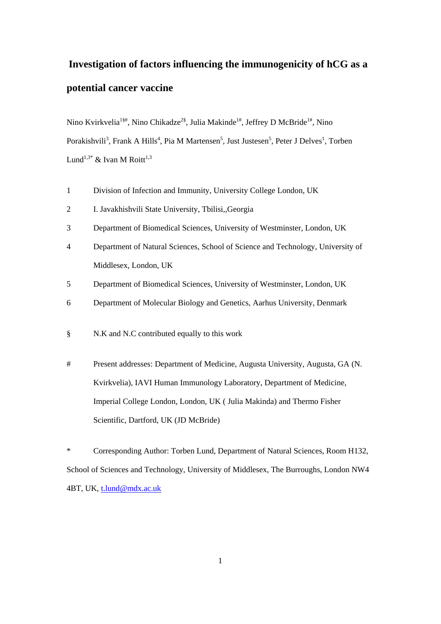## **Investigation of factors influencing the immunogenicity of hCG as a potential cancer vaccine**

Nino Kvirkvelia<sup>1§#</sup>, Nino Chikadze<sup>2§</sup>, Julia Makinde<sup>1#</sup>, Jeffrey D McBride<sup>1#</sup>, Nino Porakishvili<sup>3</sup>, Frank A Hills<sup>4</sup>, Pia M Martensen<sup>5</sup>, Just Justesen<sup>5</sup>, Peter J Delves<sup>1</sup>, Torben Lund<sup>1,3\*</sup> & Ivan M Roitt<sup>1,3</sup>

- 1 Division of Infection and Immunity, University College London, UK
- 2 I. Javakhishvili State University, Tbilisi,,Georgia
- 3 Department of Biomedical Sciences, University of Westminster, London, UK
- 4 Department of Natural Sciences, School of Science and Technology, University of Middlesex, London, UK
- 5 Department of Biomedical Sciences, University of Westminster, London, UK
- 6 Department of Molecular Biology and Genetics, Aarhus University, Denmark
- § N.K and N.C contributed equally to this work
- # Present addresses: Department of Medicine, Augusta University, Augusta, GA (N. Kvirkvelia), IAVI Human Immunology Laboratory, Department of Medicine, Imperial College London, London, UK ( Julia Makinda) and Thermo Fisher Scientific, Dartford, UK (JD McBride)

\* Corresponding Author: Torben Lund, Department of Natural Sciences, Room H132, School of Sciences and Technology, University of Middlesex, The Burroughs, London NW4 4BT, UK, [t.lund@mdx.ac.uk](mailto:t.lund@mdx.ac.uk)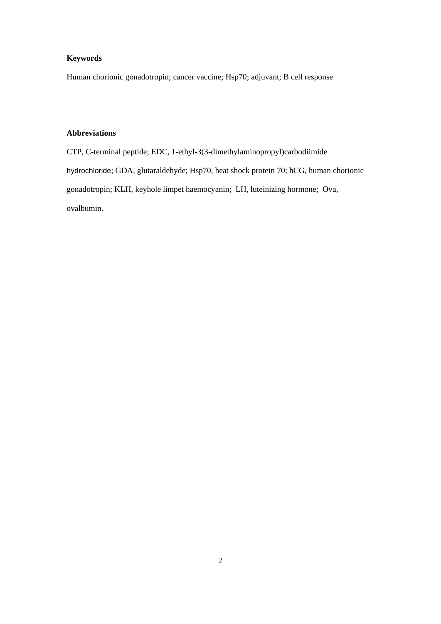## **Keywords**

Human chorionic gonadotropin; cancer vaccine; Hsp70; adjuvant; B cell response

## **Abbreviations**

CTP, C-terminal peptide; EDC, 1-ethyl-3(3-dimethylaminopropyl)carbodiimide hydrochloride; GDA, glutaraldehyde; Hsp70, heat shock protein 70; hCG, human chorionic gonadotropin; KLH, keyhole limpet haemocyanin; LH, luteinizing hormone; Ova, ovalbumin.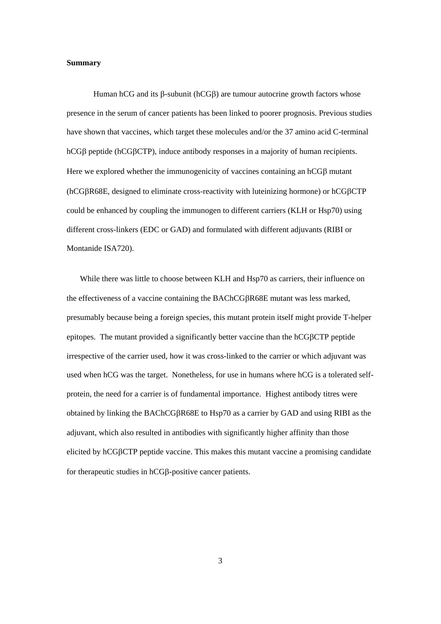## **Summary**

Human hCG and its  $\beta$ -subunit (hCG $\beta$ ) are tumour autocrine growth factors whose presence in the serum of cancer patients has been linked to poorer prognosis. Previous studies have shown that vaccines, which target these molecules and/or the 37 amino acid C-terminal hCGB peptide (hCGBCTP), induce antibody responses in a majority of human recipients. Here we explored whether the immunogenicity of vaccines containing an  $hCG\beta$  mutant (hCGR68E, designed to eliminate cross-reactivity with luteinizing hormone) or hCGCTP could be enhanced by coupling the immunogen to different carriers (KLH or Hsp70) using different cross-linkers (EDC or GAD) and formulated with different adjuvants (RIBI or Montanide ISA720).

While there was little to choose between KLH and Hsp70 as carriers, their influence on the effectiveness of a vaccine containing the BAChCGR68E mutant was less marked, presumably because being a foreign species, this mutant protein itself might provide T-helper epitopes. The mutant provided a significantly better vaccine than the hCGCTP peptide irrespective of the carrier used, how it was cross-linked to the carrier or which adjuvant was used when hCG was the target. Nonetheless, for use in humans where hCG is a tolerated selfprotein, the need for a carrier is of fundamental importance. Highest antibody titres were obtained by linking the BAChCGR68E to Hsp70 as a carrier by GAD and using RIBI as the adjuvant, which also resulted in antibodies with significantly higher affinity than those elicited by hCG<sub>B</sub>CTP peptide vaccine. This makes this mutant vaccine a promising candidate for therapeutic studies in hCGB-positive cancer patients.

3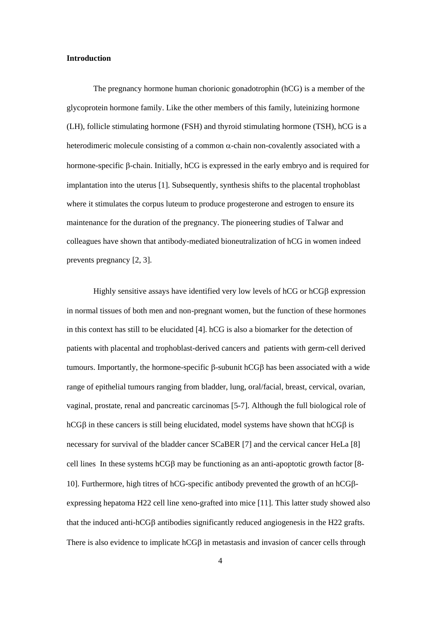#### **Introduction**

The pregnancy hormone human chorionic gonadotrophin (hCG) is a member of the glycoprotein hormone family. Like the other members of this family, luteinizing hormone (LH), follicle stimulating hormone (FSH) and thyroid stimulating hormone (TSH), hCG is a heterodimeric molecule consisting of a common  $\alpha$ -chain non-covalently associated with a hormone-specific  $\beta$ -chain. Initially, hCG is expressed in the early embryo and is required for implantation into the uterus [1]. Subsequently, synthesis shifts to the placental trophoblast where it stimulates the corpus luteum to produce progesterone and estrogen to ensure its maintenance for the duration of the pregnancy. The pioneering studies of Talwar and colleagues have shown that antibody-mediated bioneutralization of hCG in women indeed prevents pregnancy [2, 3].

Highly sensitive assays have identified very low levels of  $hCG$  or  $hCG\beta$  expression in normal tissues of both men and non-pregnant women, but the function of these hormones in this context has still to be elucidated [4]. hCG is also a biomarker for the detection of patients with placental and trophoblast-derived cancers and patients with germ-cell derived tumours. Importantly, the hormone-specific  $\beta$ -subunit hCG $\beta$  has been associated with a wide range of epithelial tumours ranging from bladder, lung, oral/facial, breast, cervical, ovarian, vaginal, prostate, renal and pancreatic carcinomas [5-7]. Although the full biological role of hCG $\beta$  in these cancers is still being elucidated, model systems have shown that hCG $\beta$  is necessary for survival of the bladder cancer SCaBER [7] and the cervical cancer HeLa [8] cell lines In these systems hCG $\beta$  may be functioning as an anti-apoptotic growth factor [8-10]. Furthermore, high titres of hCG-specific antibody prevented the growth of an hCGβexpressing hepatoma H22 cell line xeno-grafted into mice [11]. This latter study showed also that the induced anti-hCG $\beta$  antibodies significantly reduced angiogenesis in the H22 grafts. There is also evidence to implicate  $hCGB$  in metastasis and invasion of cancer cells through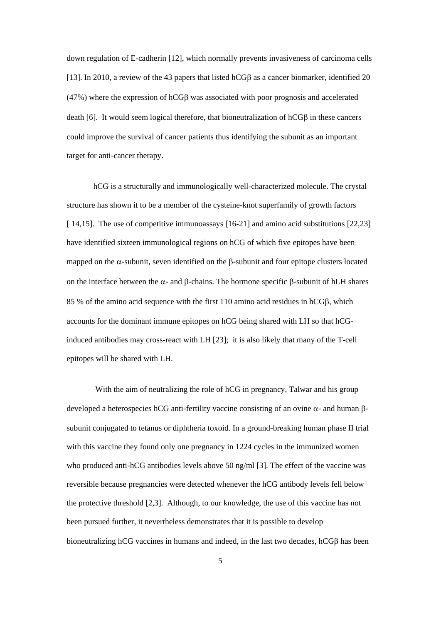down regulation of E-cadherin [12], which normally prevents invasiveness of carcinoma cells [13]. In 2010, a review of the 43 papers that listed hCG $\beta$  as a cancer biomarker, identified 20  $(47%)$  where the expression of hCG $\beta$  was associated with poor prognosis and accelerated death [6]. It would seem logical therefore, that bioneutralization of  $hCG\beta$  in these cancers could improve the survival of cancer patients thus identifying the subunit as an important target for anti-cancer therapy.

hCG is a structurally and immunologically well-characterized molecule. The crystal structure has shown it to be a member of the cysteine-knot superfamily of growth factors [ 14,15]. The use of competitive immunoassays [16-21] and amino acid substitutions [22,23] have identified sixteen immunological regions on hCG of which five epitopes have been mapped on the  $\alpha$ -subunit, seven identified on the  $\beta$ -subunit and four epitope clusters located on the interface between the  $\alpha$ - and  $\beta$ -chains. The hormone specific  $\beta$ -subunit of hLH shares 85 % of the amino acid sequence with the first 110 amino acid residues in  $hCG\beta$ , which accounts for the dominant immune epitopes on hCG being shared with LH so that hCGinduced antibodies may cross-react with LH [23]; it is also likely that many of the T-cell epitopes will be shared with LH.

With the aim of neutralizing the role of hCG in pregnancy, Talwar and his group developed a heterospecies hCG anti-fertility vaccine consisting of an ovine  $\alpha$ - and human  $\beta$ subunit conjugated to tetanus or diphtheria toxoid. In a ground-breaking human phase II trial with this vaccine they found only one pregnancy in 1224 cycles in the immunized women who produced anti-hCG antibodies levels above 50 ng/ml [3]. The effect of the vaccine was reversible because pregnancies were detected whenever the hCG antibody levels fell below the protective threshold [2,3]. Although, to our knowledge, the use of this vaccine has not been pursued further, it nevertheless demonstrates that it is possible to develop bioneutralizing hCG vaccines in humans and indeed, in the last two decades,  $hCG\beta$  has been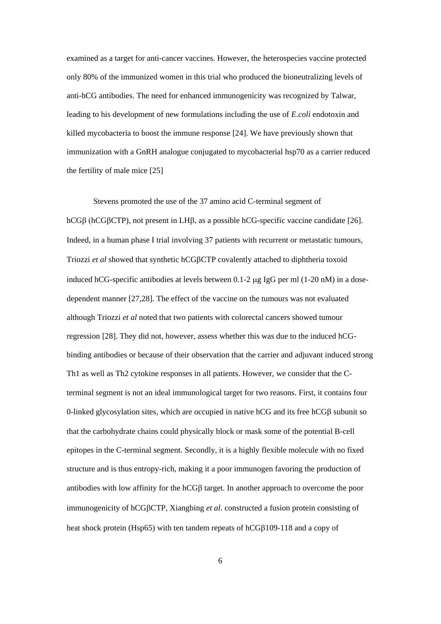examined as a target for anti-cancer vaccines. However, the heterospecies vaccine protected only 80% of the immunized women in this trial who produced the bioneutralizing levels of anti-hCG antibodies. The need for enhanced immunogenicity was recognized by Talwar, leading to his development of new formulations including the use of *E.coli* endotoxin and killed mycobacteria to boost the immune response [24]. We have previously shown that immunization with a GnRH analogue conjugated to mycobacterial hsp70 as a carrier reduced the fertility of male mice [25]

Stevens promoted the use of the 37 amino acid C-terminal segment of hCG $\beta$  (hCG $\beta$ CTP), not present in LH $\beta$ , as a possible hCG-specific vaccine candidate [26]. Indeed, in a human phase I trial involving 37 patients with recurrent or metastatic tumours, Triozzi *et al* showed that synthetic hCGCTP covalently attached to diphtheria toxoid induced hCG-specific antibodies at levels between  $0.1$ -2  $\mu$ g IgG per ml (1-20 nM) in a dosedependent manner [27,28]. The effect of the vaccine on the tumours was not evaluated although Triozzi *et al* noted that two patients with colorectal cancers showed tumour regression [28]. They did not, however, assess whether this was due to the induced hCGbinding antibodies or because of their observation that the carrier and adjuvant induced strong Th1 as well as Th2 cytokine responses in all patients. However, we consider that the Cterminal segment is not an ideal immunological target for two reasons. First, it contains four 0-linked glycosylation sites, which are occupied in native  $hCG$  and its free  $hCG\beta$  subunit so that the carbohydrate chains could physically block or mask some of the potential B-cell epitopes in the C-terminal segment. Secondly, it is a highly flexible molecule with no fixed structure and is thus entropy-rich, making it a poor immunogen favoring the production of antibodies with low affinity for the  $hCG\beta$  target. In another approach to overcome the poor immunogenicity of hCGβCTP, Xiangbing *et al*. constructed a fusion protein consisting of heat shock protein (Hsp65) with ten tandem repeats of hCG $\beta$ 109-118 and a copy of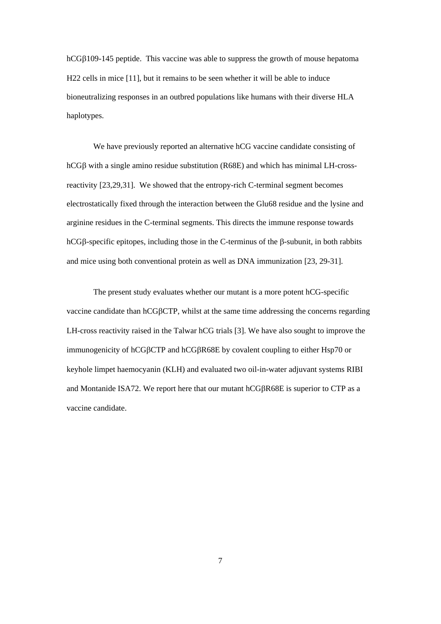hCG $\beta$ 109-145 peptide. This vaccine was able to suppress the growth of mouse hepatoma H22 cells in mice [11], but it remains to be seen whether it will be able to induce bioneutralizing responses in an outbred populations like humans with their diverse HLA haplotypes.

We have previously reported an alternative hCG vaccine candidate consisting of  $hCG\beta$  with a single amino residue substitution (R68E) and which has minimal LH-crossreactivity [23,29,31]. We showed that the entropy-rich C-terminal segment becomes electrostatically fixed through the interaction between the Glu68 residue and the lysine and arginine residues in the C-terminal segments. This directs the immune response towards hCG $\beta$ -specific epitopes, including those in the C-terminus of the  $\beta$ -subunit, in both rabbits and mice using both conventional protein as well as DNA immunization [23, 29-31].

The present study evaluates whether our mutant is a more potent hCG-specific vaccine candidate than  $hCGBCTP$ , whilst at the same time addressing the concerns regarding LH-cross reactivity raised in the Talwar hCG trials [3]. We have also sought to improve the immunogenicity of hCGBCTP and hCGBR68E by covalent coupling to either Hsp70 or keyhole limpet haemocyanin (KLH) and evaluated two oil-in-water adjuvant systems RIBI and Montanide ISA72. We report here that our mutant hCGR68E is superior to CTP as a vaccine candidate.

7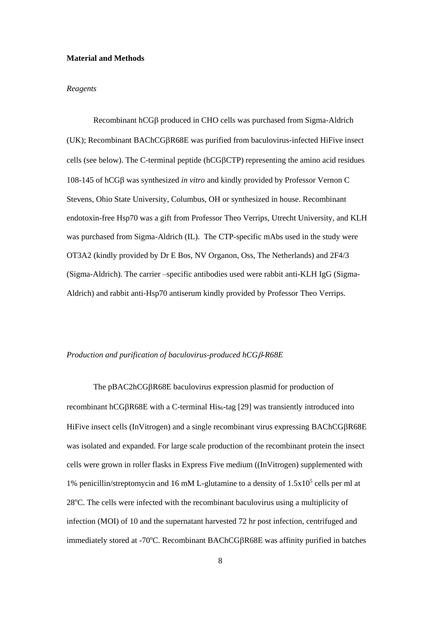#### **Material and Methods**

## *Reagents*

Recombinant  $hCG\beta$  produced in CHO cells was purchased from Sigma-Aldrich (UK); Recombinant BAChCGR68E was purified from baculovirus-infected HiFive insect cells (see below). The C-terminal peptide (hCGCTP) representing the amino acid residues  $108-145$  of hCG $\beta$  was synthesized *in vitro* and kindly provided by Professor Vernon C Stevens, Ohio State University, Columbus, OH or synthesized in house. Recombinant endotoxin-free Hsp70 was a gift from Professor Theo Verrips, Utrecht University, and KLH was purchased from Sigma-Aldrich (IL). The CTP-specific mAbs used in the study were OT3A2 (kindly provided by Dr E Bos, NV Organon, Oss, The Netherlands) and 2F4/3 (Sigma-Aldrich). The carrier –specific antibodies used were rabbit anti-KLH IgG (Sigma-Aldrich) and rabbit anti-Hsp70 antiserum kindly provided by Professor Theo Verrips.

#### *Production and purification of baculovirus-produced hCG* $\beta$ -R68E

The pBAC2hCGR68E baculovirus expression plasmid for production of recombinant hCG $\beta$ R68E with a C-terminal His<sub>6</sub>-tag [29] was transiently introduced into HiFive insect cells (InVitrogen) and a single recombinant virus expressing BAChCGBR68E was isolated and expanded. For large scale production of the recombinant protein the insect cells were grown in roller flasks in Express Five medium ((InVitrogen) supplemented with 1% penicillin/streptomycin and 16 mM L-glutamine to a density of  $1.5x10<sup>5</sup>$  cells per ml at 28<sup>o</sup>C. The cells were infected with the recombinant baculovirus using a multiplicity of infection (MOI) of 10 and the supernatant harvested 72 hr post infection, centrifuged and immediately stored at -70°C. Recombinant BAChCGBR68E was affinity purified in batches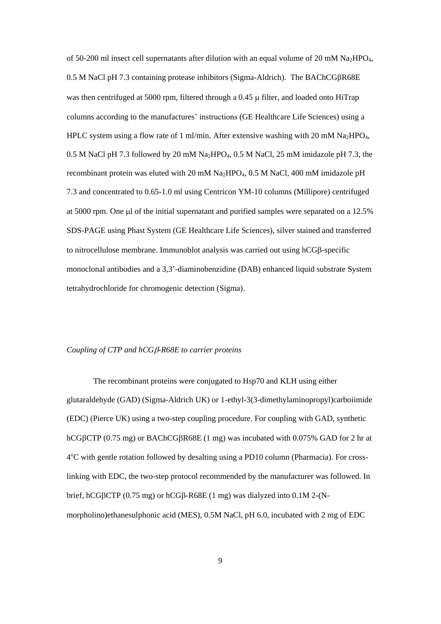of 50-200 ml insect cell supernatants after dilution with an equal volume of 20 mM Na<sub>2</sub>HPO<sub>4</sub>,  $0.5$  M NaCl pH 7.3 containing protease inhibitors (Sigma-Aldrich). The BAChCG $\beta$ R68E was then centrifuged at 5000 rpm, filtered through a 0.45  $\mu$  filter, and loaded onto HiTrap columns according to the manufactures' instructions (GE Healthcare Life Sciences) using a HPLC system using a flow rate of 1 ml/min. After extensive washing with 20 mM Na<sub>2</sub>HPO<sub>4</sub>, 0.5 M NaCl pH 7.3 followed by 20 mM Na2HPO4, 0.5 M NaCl, 25 mM imidazole pH 7.3, the recombinant protein was eluted with 20 mM Na<sub>2</sub>HPO<sub>4</sub>, 0.5 M NaCl, 400 mM imidazole pH 7.3 and concentrated to 0.65-1.0 ml using Centricon YM-10 columns (Millipore) centrifuged at 5000 rpm. One ul of the initial supernatant and purified samples were separated on a 12.5% SDS-PAGE using Phast System (GE Healthcare Life Sciences), silver stained and transferred to nitrocellulose membrane. Immunoblot analysis was carried out using  $hCG\beta$ -specific monoclonal antibodies and a 3,3'-diaminobenzidine (DAB) enhanced liquid substrate System tetrahydrochloride for chromogenic detection (Sigma).

## *Coupling of CTP and hCG-R68E to carrier proteins*

The recombinant proteins were conjugated to Hsp70 and KLH using either glutaraldehyde (GAD) (Sigma-Aldrich UK) or 1-ethyl-3(3-dimethylaminopropyl)carboiimide (EDC) (Pierce UK) using a two-step coupling procedure. For coupling with GAD, synthetic hCG $\beta$ CTP (0.75 mg) or BAChCG $\beta$ R68E (1 mg) was incubated with 0.075% GAD for 2 hr at 4°C with gentle rotation followed by desalting using a PD10 column (Pharmacia). For crosslinking with EDC, the two-step protocol recommended by the manufacturer was followed. In brief, hCG $\beta$ CTP (0.75 mg) or hCG $\beta$ -R68E (1 mg) was dialyzed into 0.1M 2-(Nmorpholino)ethanesulphonic acid (MES), 0.5M NaCl, pH 6.0, incubated with 2 mg of EDC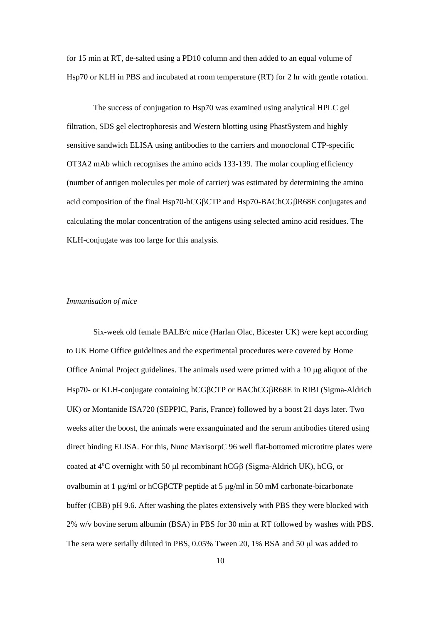for 15 min at RT, de-salted using a PD10 column and then added to an equal volume of Hsp70 or KLH in PBS and incubated at room temperature (RT) for 2 hr with gentle rotation.

The success of conjugation to Hsp70 was examined using analytical HPLC gel filtration, SDS gel electrophoresis and Western blotting using PhastSystem and highly sensitive sandwich ELISA using antibodies to the carriers and monoclonal CTP-specific OT3A2 mAb which recognises the amino acids 133-139. The molar coupling efficiency (number of antigen molecules per mole of carrier) was estimated by determining the amino acid composition of the final Hsp70-hCG $\beta$ CTP and Hsp70-BAChCG $\beta$ R68E conjugates and calculating the molar concentration of the antigens using selected amino acid residues. The KLH-conjugate was too large for this analysis.

#### *Immunisation of mice*

Six-week old female BALB/c mice (Harlan Olac, Bicester UK) were kept according to UK Home Office guidelines and the experimental procedures were covered by Home Office Animal Project guidelines. The animals used were primed with a 10 µg aliquot of the Hsp70- or KLH-conjugate containing hCGBCTP or BAChCGBR68E in RIBI (Sigma-Aldrich UK) or Montanide ISA720 (SEPPIC, Paris, France) followed by a boost 21 days later. Two weeks after the boost, the animals were exsanguinated and the serum antibodies titered using direct binding ELISA. For this, Nunc MaxisorpC 96 well flat-bottomed microtitre plates were coated at  $4^{\circ}$ C overnight with 50 µ recombinant hCGB (Sigma-Aldrich UK), hCG, or ovalbumin at 1  $\mu$ g/ml or hCGBCTP peptide at 5  $\mu$ g/ml in 50 mM carbonate-bicarbonate buffer (CBB) pH 9.6. After washing the plates extensively with PBS they were blocked with 2% w/v bovine serum albumin (BSA) in PBS for 30 min at RT followed by washes with PBS. The sera were serially diluted in PBS, 0.05% Tween 20, 1% BSA and 50 µl was added to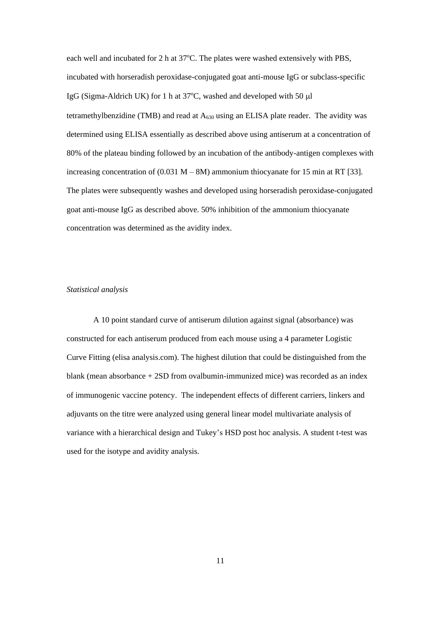each well and incubated for 2 h at  $37^{\circ}$ C. The plates were washed extensively with PBS, incubated with horseradish peroxidase-conjugated goat anti-mouse IgG or subclass-specific IgG (Sigma-Aldrich UK) for 1 h at  $37^{\circ}$ C, washed and developed with 50 µl tetramethylbenzidine (TMB) and read at  $A_{630}$  using an ELISA plate reader. The avidity was determined using ELISA essentially as described above using antiserum at a concentration of 80% of the plateau binding followed by an incubation of the antibody-antigen complexes with increasing concentration of  $(0.031 M - 8M)$  ammonium thiocyanate for 15 min at RT [33]. The plates were subsequently washes and developed using horseradish peroxidase-conjugated goat anti-mouse IgG as described above. 50% inhibition of the ammonium thiocyanate concentration was determined as the avidity index.

## *Statistical analysis*

A 10 point standard curve of antiserum dilution against signal (absorbance) was constructed for each antiserum produced from each mouse using a 4 parameter Logistic Curve Fitting (elisa analysis.com). The highest dilution that could be distinguished from the blank (mean absorbance + 2SD from ovalbumin-immunized mice) was recorded as an index of immunogenic vaccine potency. The independent effects of different carriers, linkers and adjuvants on the titre were analyzed using general linear model multivariate analysis of variance with a hierarchical design and Tukey's HSD post hoc analysis. A student t-test was used for the isotype and avidity analysis.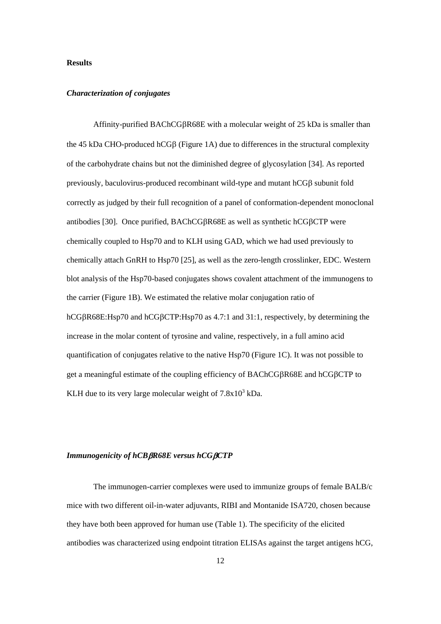## **Results**

#### *Characterization of conjugates*

Affinity-purified BAChCG $\beta$ R68E with a molecular weight of 25 kDa is smaller than the 45 kDa CHO-produced hCG $\beta$  (Figure 1A) due to differences in the structural complexity of the carbohydrate chains but not the diminished degree of glycosylation [34]. As reported previously, baculovirus-produced recombinant wild-type and mutant  $hCG\beta$  subunit fold correctly as judged by their full recognition of a panel of conformation-dependent monoclonal antibodies [30]. Once purified,  $BAChCGBR68E$  as well as synthetic hCG $\beta$ CTP were chemically coupled to Hsp70 and to KLH using GAD, which we had used previously to chemically attach GnRH to Hsp70 [25], as well as the zero-length crosslinker, EDC. Western blot analysis of the Hsp70-based conjugates shows covalent attachment of the immunogens to the carrier (Figure 1B). We estimated the relative molar conjugation ratio of hCG $\beta$ R68E:Hsp70 and hCG $\beta$ CTP:Hsp70 as 4.7:1 and 31:1, respectively, by determining the increase in the molar content of tyrosine and valine, respectively, in a full amino acid quantification of conjugates relative to the native Hsp70 (Figure 1C). It was not possible to get a meaningful estimate of the coupling efficiency of  $BACnCGBR68E$  and  $hCGBCTP$  to KLH due to its very large molecular weight of  $7.8 \times 10^3$  kDa.

## *Immunogenicity of hCBR68E versus hCGCTP*

The immunogen-carrier complexes were used to immunize groups of female BALB/c mice with two different oil-in-water adjuvants, RIBI and Montanide ISA720, chosen because they have both been approved for human use (Table 1). The specificity of the elicited antibodies was characterized using endpoint titration ELISAs against the target antigens hCG,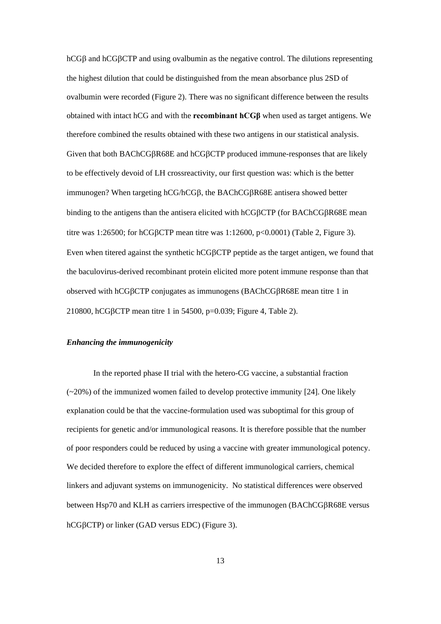$hCG\beta$  and  $hCG\beta CTP$  and using ovalbumin as the negative control. The dilutions representing the highest dilution that could be distinguished from the mean absorbance plus 2SD of ovalbumin were recorded (Figure 2). There was no significant difference between the results obtained with intact hCG and with the **recombinant hCGβ** when used as target antigens. We therefore combined the results obtained with these two antigens in our statistical analysis. Given that both BAChCG $\beta$ R68E and hCG $\beta$ CTP produced immune-responses that are likely to be effectively devoid of LH crossreactivity, our first question was: which is the better immunogen? When targeting  $hCG/hCG\beta$ , the BAChCG $\beta$ R68E antisera showed better binding to the antigens than the antisera elicited with hCG $\beta$ CTP (for BAChCG $\beta$ R68E mean titre was 1:26500; for hCGBCTP mean titre was  $1:12600$ ,  $p<0.0001$  (Table 2, Figure 3). Even when titered against the synthetic hCGBCTP peptide as the target antigen, we found that the baculovirus-derived recombinant protein elicited more potent immune response than that observed with hCG $\beta$ CTP conjugates as immunogens (BAChCG $\beta$ R68E mean titre 1 in 210800, hCGβCTP mean titre 1 in 54500, p=0.039; Figure 4, Table 2).

## *Enhancing the immunogenicity*

In the reported phase II trial with the hetero-CG vaccine, a substantial fraction (~20%) of the immunized women failed to develop protective immunity [24]. One likely explanation could be that the vaccine-formulation used was suboptimal for this group of recipients for genetic and/or immunological reasons. It is therefore possible that the number of poor responders could be reduced by using a vaccine with greater immunological potency. We decided therefore to explore the effect of different immunological carriers, chemical linkers and adjuvant systems on immunogenicity. No statistical differences were observed between Hsp70 and KLH as carriers irrespective of the immunogen (BAChCG $\beta$ R68E versus hCGBCTP) or linker (GAD versus EDC) (Figure 3).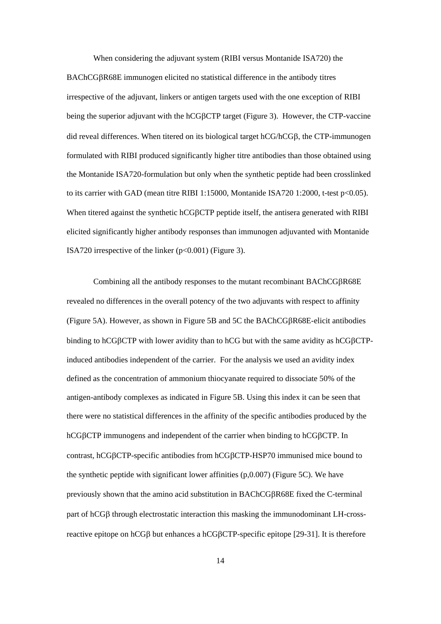When considering the adjuvant system (RIBI versus Montanide ISA720) the BAChCGBR68E immunogen elicited no statistical difference in the antibody titres irrespective of the adjuvant, linkers or antigen targets used with the one exception of RIBI being the superior adjuvant with the hCGBCTP target (Figure 3). However, the CTP-vaccine did reveal differences. When titered on its biological target  $hCG/hCG\beta$ , the CTP-immunogen formulated with RIBI produced significantly higher titre antibodies than those obtained using the Montanide ISA720-formulation but only when the synthetic peptide had been crosslinked to its carrier with GAD (mean titre RIBI 1:15000, Montanide ISA720 1:2000, t-test p<0.05). When titered against the synthetic hCGBCTP peptide itself, the antisera generated with RIBI elicited significantly higher antibody responses than immunogen adjuvanted with Montanide ISA720 irrespective of the linker  $(p<0.001)$  (Figure 3).

Combining all the antibody responses to the mutant recombinant BAChCG $\beta$ R68E revealed no differences in the overall potency of the two adjuvants with respect to affinity (Figure 5A). However, as shown in Figure 5B and 5C the BAChCGR68E-elicit antibodies binding to hCG $\beta$ CTP with lower avidity than to hCG but with the same avidity as hCG $\beta$ CTPinduced antibodies independent of the carrier. For the analysis we used an avidity index defined as the concentration of ammonium thiocyanate required to dissociate 50% of the antigen-antibody complexes as indicated in Figure 5B. Using this index it can be seen that there were no statistical differences in the affinity of the specific antibodies produced by the hCGBCTP immunogens and independent of the carrier when binding to hCGBCTP. In contrast, hCGBCTP-specific antibodies from hCGBCTP-HSP70 immunised mice bound to the synthetic peptide with significant lower affinities (p,0.007) (Figure 5C). We have previously shown that the amino acid substitution in BAChCGR68E fixed the C-terminal part of  $hCG\beta$  through electrostatic interaction this masking the immunodominant LH-crossreactive epitope on hCGB but enhances a hCGBCTP-specific epitope [29-31]. It is therefore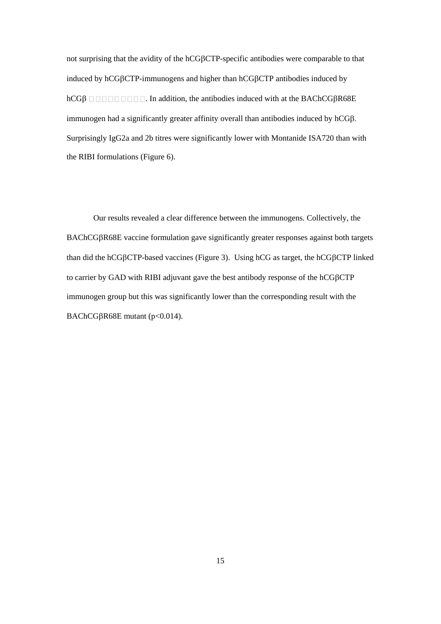not surprising that the avidity of the hCGBCTP-specific antibodies were comparable to that induced by  $hCGBCTP$ -immunogens and higher than  $hCGBCTP$  antibodies induced by  $hCG\beta$  **IIIIIIII I**. In addition, the antibodies induced with at the BAChCG $\beta$ R68E immunogen had a significantly greater affinity overall than antibodies induced by hCG $\beta$ . Surprisingly IgG2a and 2b titres were significantly lower with Montanide ISA720 than with the RIBI formulations (Figure 6).

Our results revealed a clear difference between the immunogens. Collectively, the BAChCGBR68E vaccine formulation gave significantly greater responses against both targets than did the hCG $\beta$ CTP-based vaccines (Figure 3). Using hCG as target, the hCG $\beta$ CTP linked to carrier by GAD with RIBI adjuvant gave the best antibody response of the  $hCGBCTP$ immunogen group but this was significantly lower than the corresponding result with the BAChCG $\beta$ R68E mutant (p<0.014).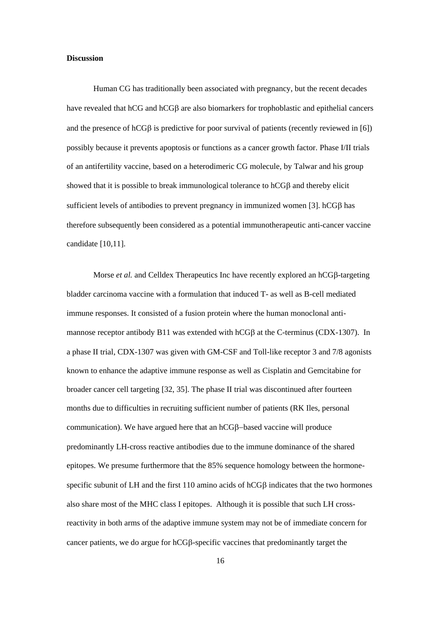#### **Discussion**

Human CG has traditionally been associated with pregnancy, but the recent decades have revealed that  $hCG$  and  $hCG\beta$  are also biomarkers for trophoblastic and epithelial cancers and the presence of hCGB is predictive for poor survival of patients (recently reviewed in [6]) possibly because it prevents apoptosis or functions as a cancer growth factor. Phase I/II trials of an antifertility vaccine, based on a heterodimeric CG molecule, by Talwar and his group showed that it is possible to break immunological tolerance to  $hCG\beta$  and thereby elicit sufficient levels of antibodies to prevent pregnancy in immunized women [3].  $hCG\beta$  has therefore subsequently been considered as a potential immunotherapeutic anti-cancer vaccine candidate [10,11].

Morse *et al.* and Celldex Therapeutics Inc have recently explored an  $hCG\beta$ -targeting bladder carcinoma vaccine with a formulation that induced T- as well as B-cell mediated immune responses. It consisted of a fusion protein where the human monoclonal antimannose receptor antibody B11 was extended with  $hCG\beta$  at the C-terminus (CDX-1307). In a phase II trial, CDX-1307 was given with GM-CSF and Toll-like receptor 3 and 7/8 agonists known to enhance the adaptive immune response as well as Cisplatin and Gemcitabine for broader cancer cell targeting [32, 35]. The phase II trial was discontinued after fourteen months due to difficulties in recruiting sufficient number of patients (RK Iles, personal communication). We have argued here that an  $hCG\beta$ -based vaccine will produce predominantly LH-cross reactive antibodies due to the immune dominance of the shared epitopes. We presume furthermore that the 85% sequence homology between the hormonespecific subunit of LH and the first  $110$  amino acids of  $hCG\beta$  indicates that the two hormones also share most of the MHC class I epitopes. Although it is possible that such LH crossreactivity in both arms of the adaptive immune system may not be of immediate concern for cancer patients, we do argue for hCGB-specific vaccines that predominantly target the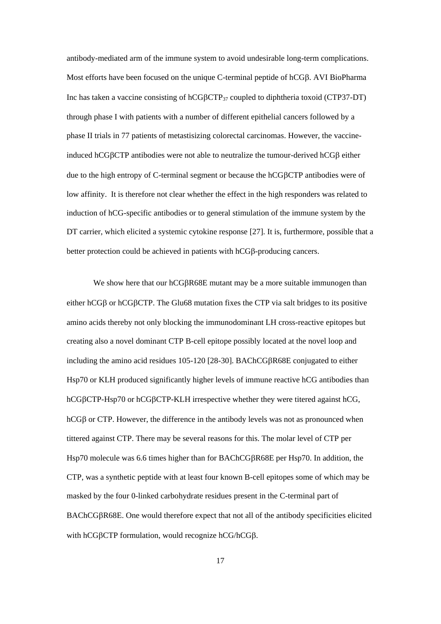antibody-mediated arm of the immune system to avoid undesirable long-term complications. Most efforts have been focused on the unique C-terminal peptide of hCG $\beta$ . AVI BioPharma Inc has taken a vaccine consisting of hCGBCTP<sub>37</sub> coupled to diphtheria toxoid (CTP37-DT) through phase I with patients with a number of different epithelial cancers followed by a phase II trials in 77 patients of metastisizing colorectal carcinomas. However, the vaccineinduced hCG $\beta$ CTP antibodies were not able to neutralize the tumour-derived hCG $\beta$  either due to the high entropy of C-terminal segment or because the hCGCTP antibodies were of low affinity. It is therefore not clear whether the effect in the high responders was related to induction of hCG-specific antibodies or to general stimulation of the immune system by the DT carrier, which elicited a systemic cytokine response [27]. It is, furthermore, possible that a better protection could be achieved in patients with hCGB-producing cancers.

We show here that our hCGBR68E mutant may be a more suitable immunogen than either hCG $\beta$  or hCG $\beta$ CTP. The Glu68 mutation fixes the CTP via salt bridges to its positive amino acids thereby not only blocking the immunodominant LH cross-reactive epitopes but creating also a novel dominant CTP B-cell epitope possibly located at the novel loop and including the amino acid residues 105-120 [28-30]. BAChCG $\beta$ R68E conjugated to either Hsp70 or KLH produced significantly higher levels of immune reactive hCG antibodies than hCG $\beta$ CTP-Hsp70 or hCG $\beta$ CTP-KLH irrespective whether they were titered against hCG,  $hCG\beta$  or CTP. However, the difference in the antibody levels was not as pronounced when tittered against CTP. There may be several reasons for this. The molar level of CTP per Hsp70 molecule was 6.6 times higher than for BAChCG $\beta$ R68E per Hsp70. In addition, the CTP, was a synthetic peptide with at least four known B-cell epitopes some of which may be masked by the four 0-linked carbohydrate residues present in the C-terminal part of BAChCGBR68E. One would therefore expect that not all of the antibody specificities elicited with hCGBCTP formulation, would recognize hCG/hCGB.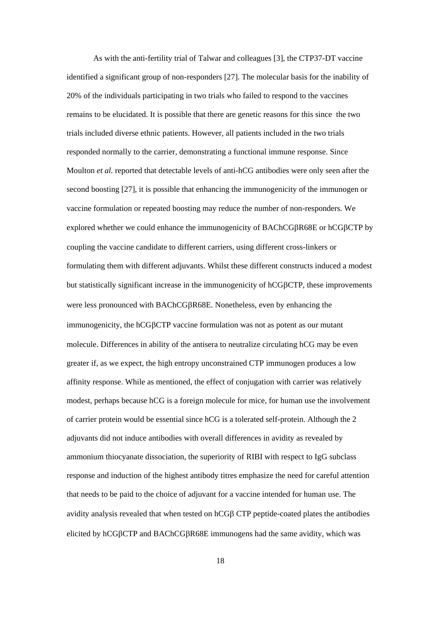As with the anti-fertility trial of Talwar and colleagues [3], the CTP37-DT vaccine identified a significant group of non-responders [27]. The molecular basis for the inability of 20% of the individuals participating in two trials who failed to respond to the vaccines remains to be elucidated. It is possible that there are genetic reasons for this since the two trials included diverse ethnic patients. However, all patients included in the two trials responded normally to the carrier, demonstrating a functional immune response. Since Moulton *et al.* reported that detectable levels of anti-hCG antibodies were only seen after the second boosting [27], it is possible that enhancing the immunogenicity of the immunogen or vaccine formulation or repeated boosting may reduce the number of non-responders. We explored whether we could enhance the immunogenicity of BAChCG $\beta$ R68E or hCG $\beta$ CTP by coupling the vaccine candidate to different carriers, using different cross-linkers or formulating them with different adjuvants. Whilst these different constructs induced a modest but statistically significant increase in the immunogenicity of hCGBCTP, these improvements were less pronounced with BAChCGR68E. Nonetheless, even by enhancing the immunogenicity, the hCGBCTP vaccine formulation was not as potent as our mutant molecule. Differences in ability of the antisera to neutralize circulating hCG may be even greater if, as we expect, the high entropy unconstrained CTP immunogen produces a low affinity response. While as mentioned, the effect of conjugation with carrier was relatively modest, perhaps because hCG is a foreign molecule for mice, for human use the involvement of carrier protein would be essential since hCG is a tolerated self-protein. Although the 2 adjuvants did not induce antibodies with overall differences in avidity as revealed by ammonium thiocyanate dissociation, the superiority of RIBI with respect to IgG subclass response and induction of the highest antibody titres emphasize the need for careful attention that needs to be paid to the choice of adjuvant for a vaccine intended for human use. The avidity analysis revealed that when tested on  $hCG\beta$  CTP peptide-coated plates the antibodies elicited by hCGCTP and BAChCGR68E immunogens had the same avidity, which was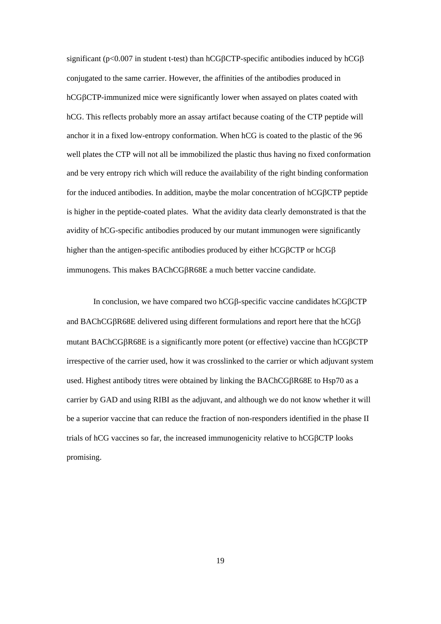significant ( $p<0.007$  in student t-test) than hCG $\beta$ CTP-specific antibodies induced by hCG $\beta$ conjugated to the same carrier. However, the affinities of the antibodies produced in hCGCTP-immunized mice were significantly lower when assayed on plates coated with hCG. This reflects probably more an assay artifact because coating of the CTP peptide will anchor it in a fixed low-entropy conformation. When hCG is coated to the plastic of the 96 well plates the CTP will not all be immobilized the plastic thus having no fixed conformation and be very entropy rich which will reduce the availability of the right binding conformation for the induced antibodies. In addition, maybe the molar concentration of hCGBCTP peptide is higher in the peptide-coated plates. What the avidity data clearly demonstrated is that the avidity of hCG-specific antibodies produced by our mutant immunogen were significantly higher than the antigen-specific antibodies produced by either hCG $\beta$ CTP or hCG $\beta$ immunogens. This makes BAChCG $\beta$ R68E a much better vaccine candidate.

In conclusion, we have compared two hCG $\beta$ -specific vaccine candidates hCG $\beta$ CTP and BAChCG $\beta$ R68E delivered using different formulations and report here that the hCG $\beta$ mutant BAChCG $\beta$ R68E is a significantly more potent (or effective) vaccine than hCG $\beta$ CTP irrespective of the carrier used, how it was crosslinked to the carrier or which adjuvant system used. Highest antibody titres were obtained by linking the BAChCG $\beta$ R68E to Hsp70 as a carrier by GAD and using RIBI as the adjuvant, and although we do not know whether it will be a superior vaccine that can reduce the fraction of non-responders identified in the phase II trials of hCG vaccines so far, the increased immunogenicity relative to hCG $\beta$ CTP looks promising.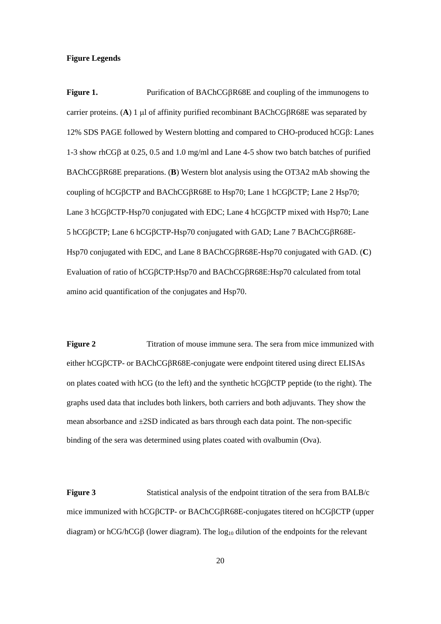#### **Figure Legends**

**Figure 1.** Purification of BAChCGR68E and coupling of the immunogens to carrier proteins. (A) 1  $\mu$ l of affinity purified recombinant BAChCG $\beta$ R68E was separated by 12% SDS PAGE followed by Western blotting and compared to CHO-produced  $hCG\beta$ : Lanes 1-3 show rhCG $\beta$  at 0.25, 0.5 and 1.0 mg/ml and Lane 4-5 show two batch batches of purified BAChCGR68E preparations. (**B**) Western blot analysis using the OT3A2 mAb showing the coupling of hCGBCTP and BAChCGBR68E to Hsp70; Lane 1 hCGBCTP; Lane 2 Hsp70; Lane 3 hCG $\beta$ CTP-Hsp70 conjugated with EDC; Lane 4 hCG $\beta$ CTP mixed with Hsp70; Lane 5 hCGBCTP; Lane 6 hCGBCTP-Hsp70 conjugated with GAD; Lane 7 BAChCGBR68E-Hsp70 conjugated with EDC, and Lane 8 BAChCGR68E-Hsp70 conjugated with GAD. (**C**) Evaluation of ratio of hCGCTP:Hsp70 and BAChCGR68E:Hsp70 calculated from total amino acid quantification of the conjugates and Hsp70.

**Figure 2** Titration of mouse immune sera. The sera from mice immunized with either hCG<sub>BCTP</sub>- or BAChCG<sub>BR68E</sub>-conjugate were endpoint titered using direct ELISAs on plates coated with hCG (to the left) and the synthetic hCG $\beta$ CTP peptide (to the right). The graphs used data that includes both linkers, both carriers and both adjuvants. They show the mean absorbance and ±2SD indicated as bars through each data point. The non-specific binding of the sera was determined using plates coated with ovalbumin (Ova).

**Figure 3** Statistical analysis of the endpoint titration of the sera from BALB/c mice immunized with hCGBCTP- or BAChCGBR68E-conjugates titered on hCGBCTP (upper diagram) or hCG/hCG $\beta$  (lower diagram). The  $\log_{10}$  dilution of the endpoints for the relevant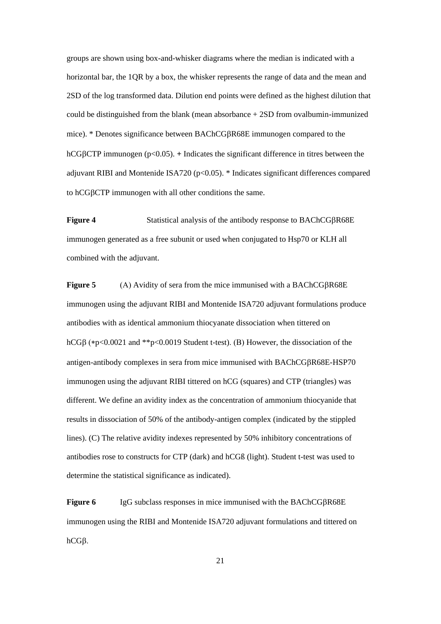groups are shown using box-and-whisker diagrams where the median is indicated with a horizontal bar, the 1QR by a box, the whisker represents the range of data and the mean and 2SD of the log transformed data. Dilution end points were defined as the highest dilution that could be distinguished from the blank (mean absorbance + 2SD from ovalbumin-immunized mice). \* Denotes significance between BAChCGR68E immunogen compared to the hCG $\beta$ CTP immunogen (p<0.05).  $+$  Indicates the significant difference in titres between the adjuvant RIBI and Montenide ISA720 (p<0.05). \* Indicates significant differences compared to hCG<sub>B</sub>CTP immunogen with all other conditions the same.

**Figure 4** Statistical analysis of the antibody response to BAChCG $\beta$ R68E immunogen generated as a free subunit or used when conjugated to Hsp70 or KLH all combined with the adjuvant.

**Figure 5** (A) Avidity of sera from the mice immunised with a BAChCG $\beta$ R68E immunogen using the adjuvant RIBI and Montenide ISA720 adjuvant formulations produce antibodies with as identical ammonium thiocyanate dissociation when tittered on hCG $\beta$  (\*p<0.0021 and \*\*p<0.0019 Student t-test). (B) However, the dissociation of the antigen-antibody complexes in sera from mice immunised with BAChCGR68E-HSP70 immunogen using the adjuvant RIBI tittered on hCG (squares) and CTP (triangles) was different. We define an avidity index as the concentration of ammonium thiocyanide that results in dissociation of 50% of the antibody-antigen complex (indicated by the stippled lines). (C) The relative avidity indexes represented by 50% inhibitory concentrations of antibodies rose to constructs for CTP (dark) and hCGß (light). Student t-test was used to determine the statistical significance as indicated).

**Figure 6** IgG subclass responses in mice immunised with the BAChCG $\beta$ R68E immunogen using the RIBI and Montenide ISA720 adjuvant formulations and tittered on hCG<sub>B</sub>.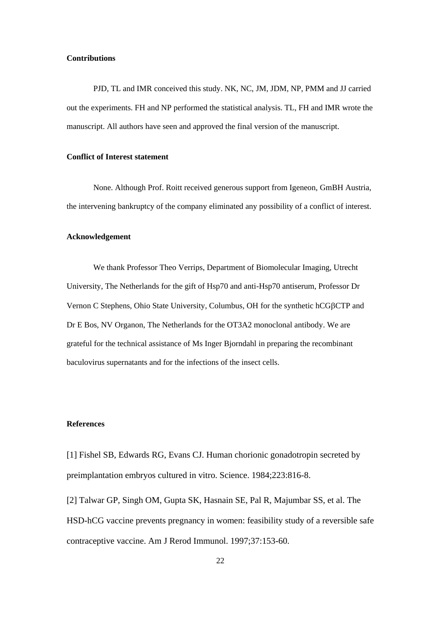#### **Contributions**

PJD, TL and IMR conceived this study. NK, NC, JM, JDM, NP, PMM and JJ carried out the experiments. FH and NP performed the statistical analysis. TL, FH and IMR wrote the manuscript. All authors have seen and approved the final version of the manuscript.

## **Conflict of Interest statement**

None. Although Prof. Roitt received generous support from Igeneon, GmBH Austria, the intervening bankruptcy of the company eliminated any possibility of a conflict of interest.

#### **Acknowledgement**

We thank Professor Theo Verrips, Department of Biomolecular Imaging, Utrecht University, The Netherlands for the gift of Hsp70 and anti-Hsp70 antiserum, Professor Dr Vernon C Stephens, Ohio State University, Columbus, OH for the synthetic hCGBCTP and Dr E Bos, NV Organon, The Netherlands for the OT3A2 monoclonal antibody. We are grateful for the technical assistance of Ms Inger Bjorndahl in preparing the recombinant baculovirus supernatants and for the infections of the insect cells.

## **References**

[1] Fishel SB, Edwards RG, Evans CJ. Human chorionic gonadotropin secreted by preimplantation embryos cultured in vitro. Science. 1984;223:816-8.

[2] Talwar GP, Singh OM, Gupta SK, Hasnain SE, Pal R, Majumbar SS, et al. The HSD-hCG vaccine prevents pregnancy in women: feasibility study of a reversible safe contraceptive vaccine. Am J Rerod Immunol. 1997;37:153-60.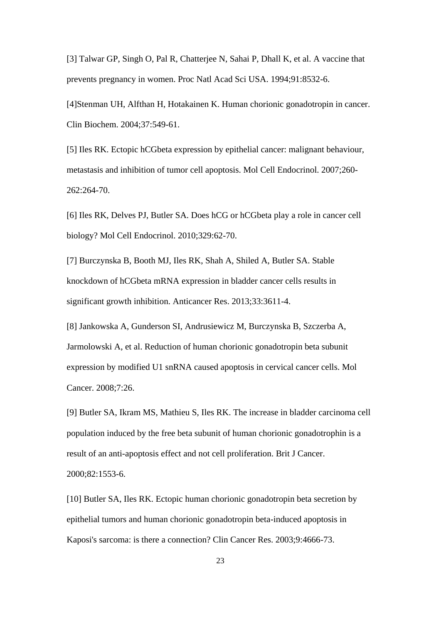[3] Talwar GP, Singh O, Pal R, Chatterjee N, Sahai P, Dhall K, et al. A vaccine that prevents pregnancy in women. Proc Natl Acad Sci USA. 1994;91:8532-6.

[4]Stenman UH, Alfthan H, Hotakainen K. Human chorionic gonadotropin in cancer. Clin Biochem. 2004;37:549-61.

[5] Iles RK. Ectopic hCGbeta expression by epithelial cancer: malignant behaviour, metastasis and inhibition of tumor cell apoptosis. Mol Cell Endocrinol. 2007;260- 262:264-70.

[6] Iles RK, Delves PJ, Butler SA. Does hCG or hCGbeta play a role in cancer cell biology? Mol Cell Endocrinol. 2010;329:62-70.

[7] Burczynska B, Booth MJ, Iles RK, Shah A, Shiled A, Butler SA. Stable knockdown of hCGbeta mRNA expression in bladder cancer cells results in significant growth inhibition. Anticancer Res. 2013;33:3611-4.

[8] Jankowska A, Gunderson SI, Andrusiewicz M, Burczynska B, Szczerba A, Jarmolowski A, et al. Reduction of human chorionic gonadotropin beta subunit expression by modified U1 snRNA caused apoptosis in cervical cancer cells. Mol Cancer. 2008;7:26.

[9] Butler SA, Ikram MS, Mathieu S, Iles RK. The increase in bladder carcinoma cell population induced by the free beta subunit of human chorionic gonadotrophin is a result of an anti-apoptosis effect and not cell proliferation. Brit J Cancer. 2000;82:1553-6.

[10] Butler SA, Iles RK. Ectopic human chorionic gonadotropin beta secretion by epithelial tumors and human chorionic gonadotropin beta-induced apoptosis in Kaposi's sarcoma: is there a connection? Clin Cancer Res. 2003;9:4666-73.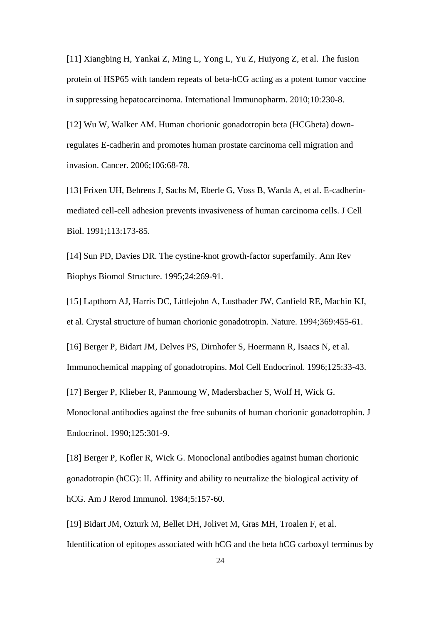[11] Xiangbing H, Yankai Z, Ming L, Yong L, Yu Z, Huiyong Z, et al. The fusion protein of HSP65 with tandem repeats of beta-hCG acting as a potent tumor vaccine in suppressing hepatocarcinoma. International Immunopharm. 2010;10:230-8.

[12] Wu W, Walker AM. Human chorionic gonadotropin beta (HCGbeta) downregulates E-cadherin and promotes human prostate carcinoma cell migration and invasion. Cancer. 2006;106:68-78.

[13] Frixen UH, Behrens J, Sachs M, Eberle G, Voss B, Warda A, et al. E-cadherinmediated cell-cell adhesion prevents invasiveness of human carcinoma cells. J Cell Biol. 1991;113:173-85.

[14] Sun PD, Davies DR. The cystine-knot growth-factor superfamily. Ann Rev Biophys Biomol Structure. 1995;24:269-91.

[15] Lapthorn AJ, Harris DC, Littlejohn A, Lustbader JW, Canfield RE, Machin KJ, et al. Crystal structure of human chorionic gonadotropin. Nature. 1994;369:455-61.

[16] Berger P, Bidart JM, Delves PS, Dirnhofer S, Hoermann R, Isaacs N, et al. Immunochemical mapping of gonadotropins. Mol Cell Endocrinol. 1996;125:33-43.

[17] Berger P, Klieber R, Panmoung W, Madersbacher S, Wolf H, Wick G. Monoclonal antibodies against the free subunits of human chorionic gonadotrophin. J Endocrinol. 1990;125:301-9.

[18] Berger P, Kofler R, Wick G. Monoclonal antibodies against human chorionic gonadotropin (hCG): II. Affinity and ability to neutralize the biological activity of hCG. Am J Rerod Immunol. 1984;5:157-60.

[19] Bidart JM, Ozturk M, Bellet DH, Jolivet M, Gras MH, Troalen F, et al. Identification of epitopes associated with hCG and the beta hCG carboxyl terminus by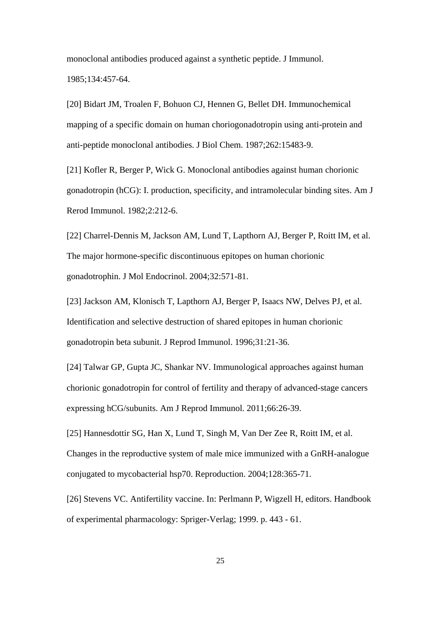monoclonal antibodies produced against a synthetic peptide. J Immunol. 1985;134:457-64.

[20] Bidart JM, Troalen F, Bohuon CJ, Hennen G, Bellet DH. Immunochemical mapping of a specific domain on human choriogonadotropin using anti-protein and anti-peptide monoclonal antibodies. J Biol Chem. 1987;262:15483-9.

[21] Kofler R, Berger P, Wick G. Monoclonal antibodies against human chorionic gonadotropin (hCG): I. production, specificity, and intramolecular binding sites. Am J Rerod Immunol. 1982;2:212-6.

[22] Charrel-Dennis M, Jackson AM, Lund T, Lapthorn AJ, Berger P, Roitt IM, et al. The major hormone-specific discontinuous epitopes on human chorionic gonadotrophin. J Mol Endocrinol. 2004;32:571-81.

[23] Jackson AM, Klonisch T, Lapthorn AJ, Berger P, Isaacs NW, Delves PJ, et al. Identification and selective destruction of shared epitopes in human chorionic gonadotropin beta subunit. J Reprod Immunol. 1996;31:21-36.

[24] Talwar GP, Gupta JC, Shankar NV. Immunological approaches against human chorionic gonadotropin for control of fertility and therapy of advanced-stage cancers expressing hCG/subunits. Am J Reprod Immunol. 2011;66:26-39.

[25] Hannesdottir SG, Han X, Lund T, Singh M, Van Der Zee R, Roitt IM, et al. Changes in the reproductive system of male mice immunized with a GnRH-analogue conjugated to mycobacterial hsp70. Reproduction. 2004;128:365-71.

[26] Stevens VC. Antifertility vaccine. In: Perlmann P, Wigzell H, editors. Handbook of experimental pharmacology: Spriger-Verlag; 1999. p. 443 - 61.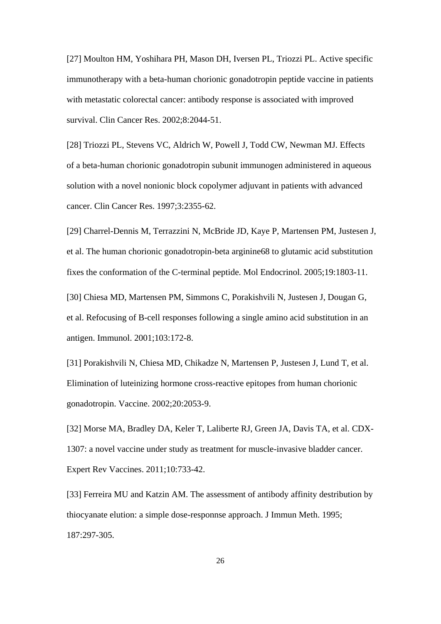[27] Moulton HM, Yoshihara PH, Mason DH, Iversen PL, Triozzi PL. Active specific immunotherapy with a beta-human chorionic gonadotropin peptide vaccine in patients with metastatic colorectal cancer: antibody response is associated with improved survival. Clin Cancer Res. 2002;8:2044-51.

[28] Triozzi PL, Stevens VC, Aldrich W, Powell J, Todd CW, Newman MJ. Effects of a beta-human chorionic gonadotropin subunit immunogen administered in aqueous solution with a novel nonionic block copolymer adjuvant in patients with advanced cancer. Clin Cancer Res. 1997;3:2355-62.

[29] Charrel-Dennis M, Terrazzini N, McBride JD, Kaye P, Martensen PM, Justesen J, et al. The human chorionic gonadotropin-beta arginine68 to glutamic acid substitution fixes the conformation of the C-terminal peptide. Mol Endocrinol. 2005;19:1803-11.

[30] Chiesa MD, Martensen PM, Simmons C, Porakishvili N, Justesen J, Dougan G, et al. Refocusing of B-cell responses following a single amino acid substitution in an antigen. Immunol. 2001;103:172-8.

[31] Porakishvili N, Chiesa MD, Chikadze N, Martensen P, Justesen J, Lund T, et al. Elimination of luteinizing hormone cross-reactive epitopes from human chorionic gonadotropin. Vaccine. 2002;20:2053-9.

[32] Morse MA, Bradley DA, Keler T, Laliberte RJ, Green JA, Davis TA, et al. CDX-1307: a novel vaccine under study as treatment for muscle-invasive bladder cancer. Expert Rev Vaccines. 2011;10:733-42.

[33] Ferreira MU and Katzin AM. The assessment of antibody affinity destribution by thiocyanate elution: a simple dose-responnse approach. J Immun Meth. 1995; 187:297-305.